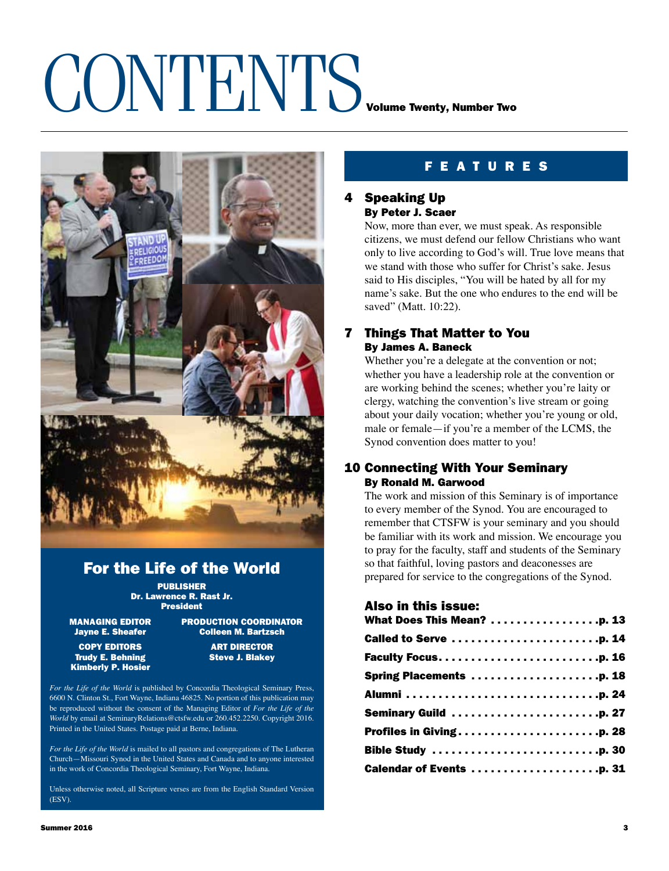## CONTENTS VOLUME TWENTING



## For the Life of the World

PUBLISHER Dr. Lawrence R. Rast Jr. President

COPY EDITORS ART DIRECTOR Trudy E. Behning Kimberly P. Hosier

MANAGING EDITOR PRODUCTION COORDINATOR<br>Dayne E. Sheafer \_\_\_\_\_\_\_\_\_\_\_Colleen M. Bartzsch **Colleen M. Bartzsch** 

*For the Life of the World* is published by Concordia Theological Seminary Press, 6600 N. Clinton St., Fort Wayne, Indiana 46825. No portion of this publication may be reproduced without the consent of the Managing Editor of *For the Life of the World* by email at SeminaryRelations@ctsfw.edu or 260.452.2250. Copyright 2016. Printed in the United States. Postage paid at Berne, Indiana.

*For the Life of the World* is mailed to all pastors and congregations of The Lutheran Church—Missouri Synod in the United States and Canada and to anyone interested in the work of Concordia Theological Seminary, Fort Wayne, Indiana.

Unless otherwise noted, all Scripture verses are from the English Standard Version (ESV).

### f e atur e s

### 4 Speaking Up By Peter J. Scaer

Now, more than ever, we must speak. As responsible citizens, we must defend our fellow Christians who want only to live according to God's will. True love means that we stand with those who suffer for Christ's sake. Jesus said to His disciples, "You will be hated by all for my name's sake. But the one who endures to the end will be saved" (Matt. 10:22).

### 7 Things That Matter to You By James A. Baneck

Whether you're a delegate at the convention or not; whether you have a leadership role at the convention or are working behind the scenes; whether you're laity or clergy, watching the convention's live stream or going about your daily vocation; whether you're young or old, male or female—if you're a member of the LCMS, the Synod convention does matter to you!

### 10 Connecting With Your Seminary By Ronald M. Garwood

The work and mission of this Seminary is of importance to every member of the Synod. You are encouraged to remember that CTSFW is your seminary and you should be familiar with its work and mission. We encourage you to pray for the faculty, staff and students of the Seminary so that faithful, loving pastors and deaconesses are prepared for service to the congregations of the Synod.

### Also in this issue:

| What Does This Mean? p. 13 |
|----------------------------|
|                            |
|                            |
| Spring Placements p. 18    |
|                            |
|                            |
|                            |
|                            |
|                            |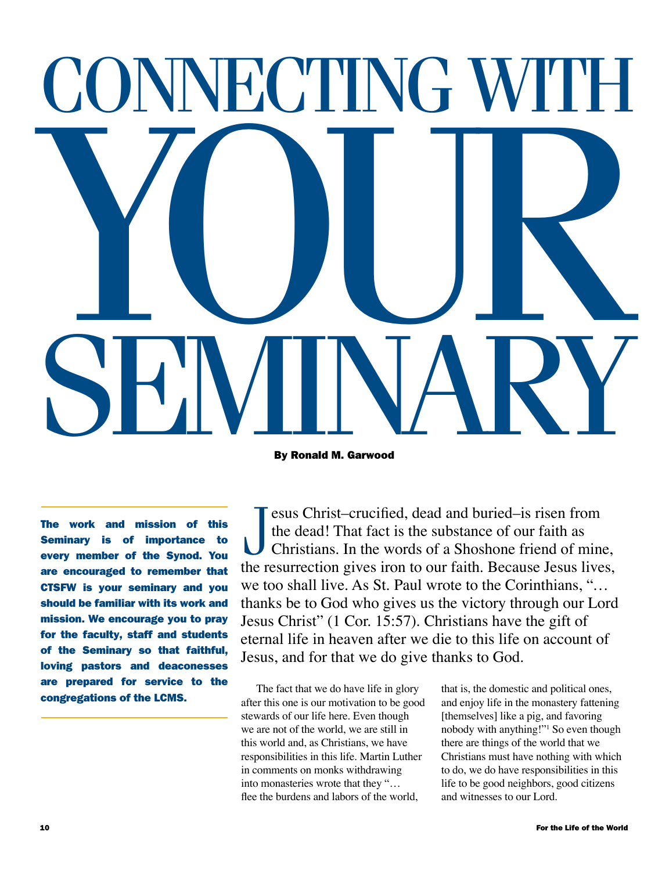# SEMINARY YOUR ONNECTING WITH

By Ronald M. Garwood

The work and mission of this Seminary is of importance to every member of the Synod. You are encouraged to remember that CTSFW is your seminary and you should be familiar with its work and mission. We encourage you to pray for the faculty, staff and students of the Seminary so that faithful, loving pastors and deaconesses are prepared for service to the congregations of the LCMS.

J esus Christ–crucified, dead and buried–is risen from the dead! That fact is the substance of our faith as Christians. In the words of a Shoshone friend of mine, the resurrection gives iron to our faith. Because Jesus lives, we too shall live. As St. Paul wrote to the Corinthians, "*…* thanks be to God who gives us the victory through our Lord Jesus Christ" (1 Cor. 15:57). Christians have the gift of eternal life in heaven after we die to this life on account of Jesus, and for that we do give thanks to God.

The fact that we do have life in glory after this one is our motivation to be good stewards of our life here. Even though we are not of the world, we are still in this world and, as Christians, we have responsibilities in this life. Martin Luther in comments on monks withdrawing into monasteries wrote that they "… flee the burdens and labors of the world,

that is, the domestic and political ones, and enjoy life in the monastery fattening [themselves] like a pig, and favoring nobody with anything!"1 So even though there are things of the world that we Christians must have nothing with which to do, we do have responsibilities in this life to be good neighbors, good citizens and witnesses to our Lord.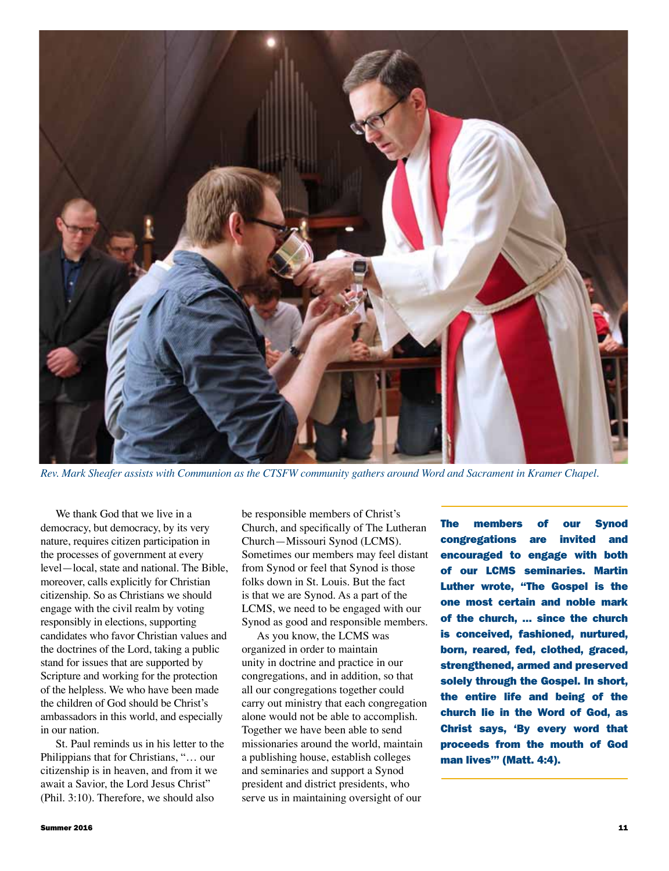

*Rev. Mark Sheafer assists with Communion as the CTSFW community gathers around Word and Sacrament in Kramer Chapel.*

We thank God that we live in a democracy, but democracy, by its very nature, requires citizen participation in the processes of government at every level—local, state and national. The Bible, moreover, calls explicitly for Christian citizenship. So as Christians we should engage with the civil realm by voting responsibly in elections, supporting candidates who favor Christian values and the doctrines of the Lord, taking a public stand for issues that are supported by Scripture and working for the protection of the helpless. We who have been made the children of God should be Christ's ambassadors in this world, and especially in our nation.

St. Paul reminds us in his letter to the Philippians that for Christians, "… our citizenship is in heaven, and from it we await a Savior, the Lord Jesus Christ" (Phil. 3:10). Therefore, we should also

be responsible members of Christ's Church, and specifically of The Lutheran Church—Missouri Synod (LCMS). Sometimes our members may feel distant from Synod or feel that Synod is those folks down in St. Louis. But the fact is that we are Synod. As a part of the LCMS, we need to be engaged with our Synod as good and responsible members.

As you know, the LCMS was organized in order to maintain unity in doctrine and practice in our congregations, and in addition, so that all our congregations together could carry out ministry that each congregation alone would not be able to accomplish. Together we have been able to send missionaries around the world, maintain a publishing house, establish colleges and seminaries and support a Synod president and district presidents, who serve us in maintaining oversight of our

The members of our Synod congregations are invited and encouraged to engage with both of our LCMS seminaries. Martin Luther wrote, "The Gospel is the one most certain and noble mark of the church, … since the church is conceived, fashioned, nurtured, born, reared, fed, clothed, graced, strengthened, armed and preserved solely through the Gospel. In short, the entire life and being of the church lie in the Word of God, as Christ says, 'By every word that proceeds from the mouth of God man lives'" (Matt. 4:4).